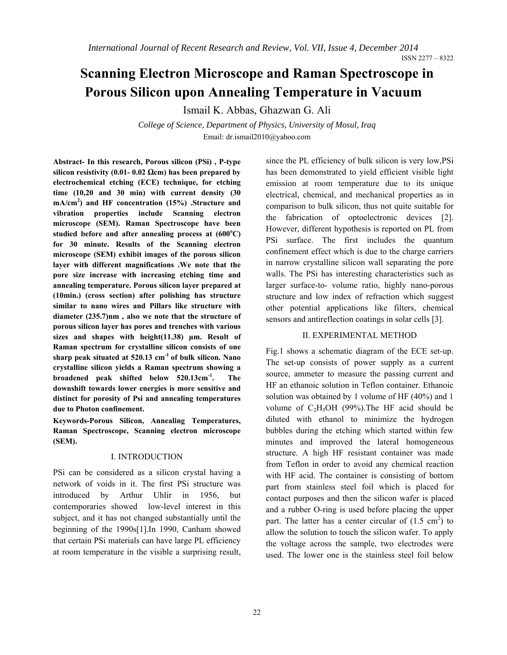# **Scanning Electron Microscope and Raman Spectroscope in Porous Silicon upon Annealing Temperature in Vacuum**

Ismail K. Abbas, Ghazwan G. Ali

*College of Science, Department of Physics, University of Mosul, Iraq*  Email: dr.ismail2010@yahoo.com

**Abstract- In this research, Porous silicon (PSi) , P-type silicon resistivity (0.01- 0.02**  $\Omega$ **cm) has been prepared by electrochemical etching (ECE) technique, for etching time (10,20 and 30 min) with current density (30 mA/cm2 ) and HF concentration (15%) .Structure and vibration properties include Scanning electron microscope (SEM). Raman Spectroscope have been**  studied before and after annealing process at  $(600^{\circ}C)$ **for 30 minute. Results of the Scanning electron microscope (SEM) exhibit images of the porous silicon layer with different magnifications .We note that the pore size increase with increasing etching time and annealing temperature. Porous silicon layer prepared at (10min.) (cross section) after polishing has structure similar to nano wires and Pillars like structure with diameter (235.7)nm , also we note that the structure of porous silicon layer has pores and trenches with various sizes and shapes with height(11.38) μm. Result of Raman spectrum for crystalline silicon consists of one sharp peak situated at 520.13 cm-1 of bulk silicon. Nano crystalline silicon yields a Raman spectrum showing a broadened peak shifted below 520.13cm-1. The downshift towards lower energies is more sensitive and distinct for porosity of Psi and annealing temperatures due to Photon confinement.** 

**Keywords-Porous Silicon, Annealing Temperatures, Raman Spectroscope, Scanning electron microscope (SEM).**

#### I. INTRODUCTION

PSi can be considered as a silicon crystal having a network of voids in it. The first PSi structure was introduced by Arthur Uhlir in 1956, but contemporaries showed low-level interest in this subject, and it has not changed substantially until the beginning of the 1990s[1].In 1990, Canham showed that certain PSi materials can have large PL efficiency at room temperature in the visible a surprising result, since the PL efficiency of bulk silicon is very low,PSi has been demonstrated to yield efficient visible light emission at room temperature due to its unique electrical, chemical, and mechanical properties as in comparison to bulk silicon, thus not quite suitable for the fabrication of optoelectronic devices [2]. However, different hypothesis is reported on PL from PSi surface. The first includes the quantum confinement effect which is due to the charge carriers in narrow crystalline silicon wall separating the pore walls. The PSi has interesting characteristics such as larger surface-to- volume ratio, highly nano-porous structure and low index of refraction which suggest other potential applications like filters, chemical sensors and antireflection coatings in solar cells [3].

# II. EXPERIMENTAL METHOD

Fig.1 shows a schematic diagram of the ECE set-up. The set-up consists of power supply as a current source, ammeter to measure the passing current and HF an ethanoic solution in Teflon container. Ethanoic solution was obtained by 1 volume of HF (40%) and 1 volume of  $C_2H_5OH$  (99%). The HF acid should be diluted with ethanol to minimize the hydrogen bubbles during the etching which started within few minutes and improved the lateral homogeneous structure. A high HF resistant container was made from Teflon in order to avoid any chemical reaction with HF acid. The container is consisting of bottom part from stainless steel foil which is placed for contact purposes and then the silicon wafer is placed and a rubber O-ring is used before placing the upper part. The latter has a center circular of  $(1.5 \text{ cm}^2)$  to allow the solution to touch the silicon wafer. To apply the voltage across the sample, two electrodes were used. The lower one is the stainless steel foil below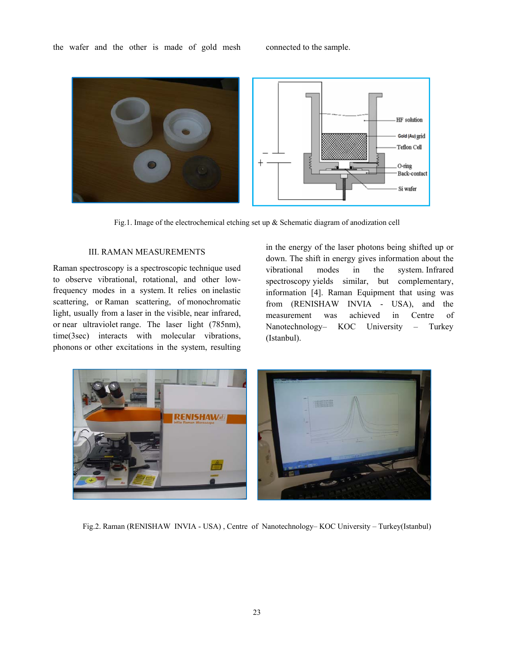

Fig.1. Image of the electrochemical etching set up & Schematic diagram of anodization cell

# III. RAMAN MEASUREMENTS

Raman spectroscopy is a spectroscopic technique used to observe vibrational, rotational, and other lowfrequency modes in a system. It relies on inelastic scattering, or Raman scattering, of monochromatic light, usually from a laser in the visible, near infrared, or near ultraviolet range. The laser light (785nm), time(3sec) interacts with molecular vibrations, phonons or other excitations in the system, resulting in the energy of the laser photons being shifted up or down. The shift in energy gives information about the vibrational modes in the system. Infrared spectroscopy yields similar, but complementary, information [4]. Raman Equipment that using was from (RENISHAW INVIA - USA), and the measurement was achieved in Centre of Nanotechnology– KOC University – Turkey (Istanbul).



Fig.2. Raman (RENISHAW INVIA - USA) , Centre of Nanotechnology– KOC University – Turkey(Istanbul)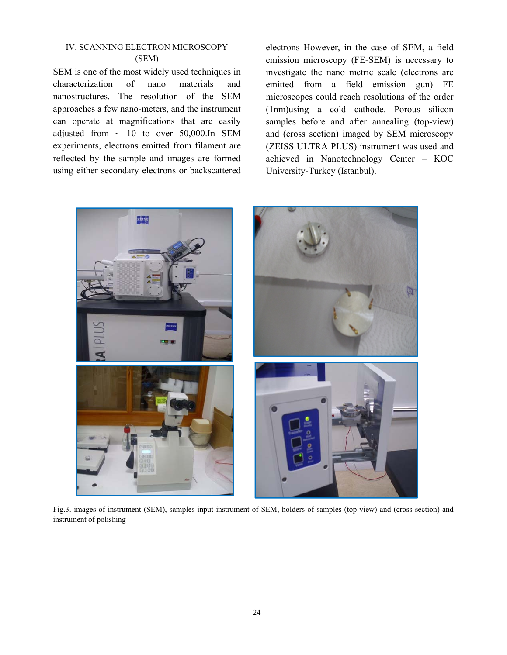# IV. SCANNING ELECTRON MICROSCOPY (SEM)

SEM is one of the most widely used techniques in characterization of nano materials and nanostructures. The resolution of the SEM approaches a few nano-meters, and the instrument can operate at magnifications that are easily adjusted from  $\sim$  10 to over 50,000.In SEM experiments, electrons emitted from filament are reflected by the sample and images are formed using either secondary electrons or backscattered electrons However, in the case of SEM, a field emission microscopy (FE-SEM) is necessary to investigate the nano metric scale (electrons are emitted from a field emission gun) FE microscopes could reach resolutions of the order (1nm)using a cold cathode. Porous silicon samples before and after annealing (top-view) and (cross section) imaged by SEM microscopy (ZEISS ULTRA PLUS) instrument was used and achieved in Nanotechnology Center – KOC University-Turkey (Istanbul).



Fig.3. images of instrument (SEM), samples input instrument of SEM, holders of samples (top-view) and (cross-section) and instrument of polishing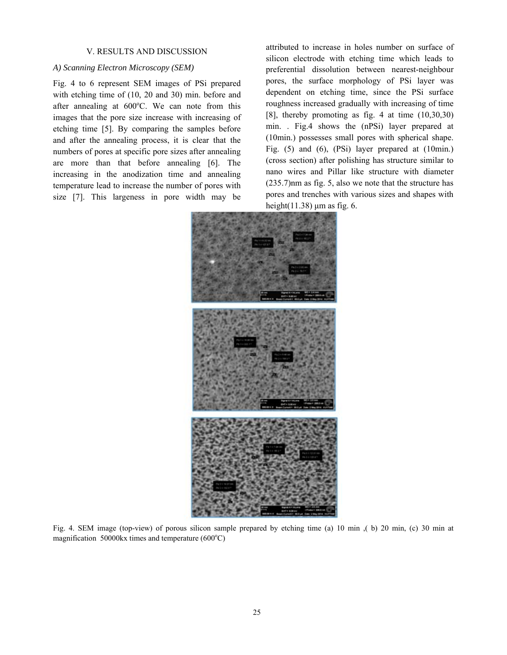#### V. RESULTS AND DISCUSSION

## *A) Scanning Electron Microscopy (SEM)*

Fig. 4 to 6 represent SEM images of PSi prepared with etching time of (10, 20 and 30) min. before and after annealing at  $600^{\circ}$ C. We can note from this images that the pore size increase with increasing of etching time [5]. By comparing the samples before and after the annealing process, it is clear that the numbers of pores at specific pore sizes after annealing are more than that before annealing [6]. The increasing in the anodization time and annealing temperature lead to increase the number of pores with size [7]. This largeness in pore width may be

attributed to increase in holes number on surface of silicon electrode with etching time which leads to preferential dissolution between nearest-neighbour pores, the surface morphology of PSi layer was dependent on etching time, since the PSi surface roughness increased gradually with increasing of time [8], thereby promoting as fig. 4 at time (10,30,30) min. . Fig.4 shows the (nPSi) layer prepared at (10min.) possesses small pores with spherical shape. Fig. (5) and (6), (PSi) layer prepared at (10min.) (cross section) after polishing has structure similar to nano wires and Pillar like structure with diameter (235.7)nm as fig. 5, also we note that the structure has pores and trenches with various sizes and shapes with height $(11.38)$  μm as fig. 6.



Fig. 4. SEM image (top-view) of porous silicon sample prepared by etching time (a) 10 min ,( b) 20 min, (c) 30 min at magnification  $50000$ kx times and temperature ( $600^{\circ}$ C)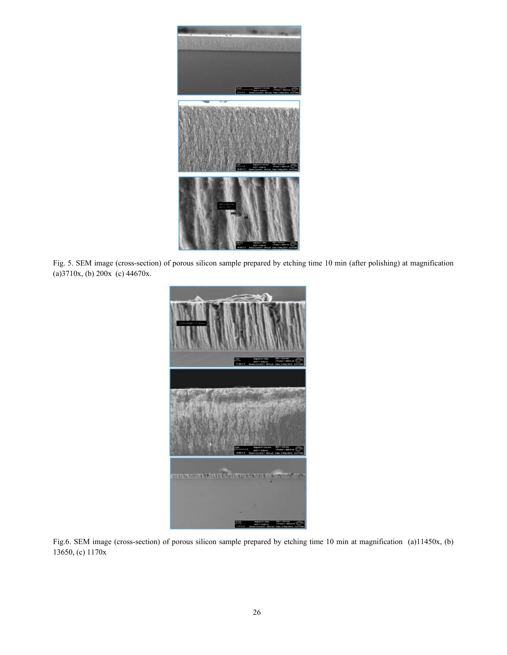

Fig. 5. SEM image (cross-section) of porous silicon sample prepared by etching time 10 min (after polishing) at magnification (a)3710x, (b) 200x (c) 44670x.



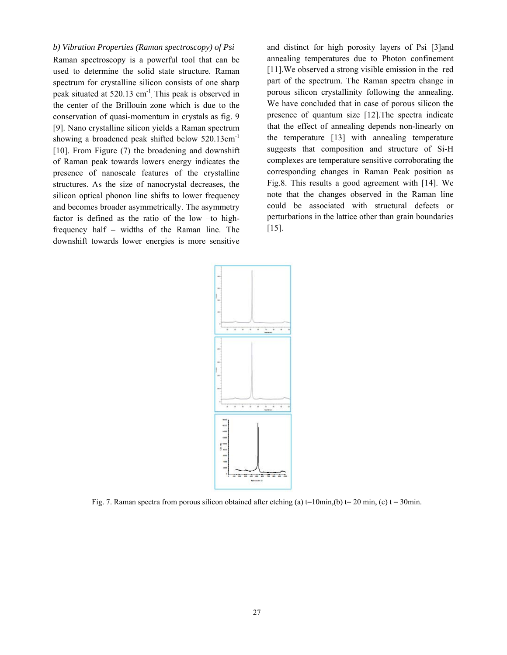#### *b) Vibration Properties (Raman spectroscopy) of Psi*

Raman spectroscopy is a powerful tool that can be used to determine the solid state structure. Raman spectrum for crystalline silicon consists of one sharp peak situated at 520.13 cm<sup>-1</sup> This peak is observed in the center of the Brillouin zone which is due to the conservation of quasi-momentum in crystals as fig. 9 [9]. Nano crystalline silicon yields a Raman spectrum showing a broadened peak shifted below 520.13cm<sup>-1</sup> [10]. From Figure (7) the broadening and downshift of Raman peak towards lowers energy indicates the presence of nanoscale features of the crystalline structures. As the size of nanocrystal decreases, the silicon optical phonon line shifts to lower frequency and becomes broader asymmetrically. The asymmetry factor is defined as the ratio of the low –to highfrequency half – widths of the Raman line. The downshift towards lower energies is more sensitive

and distinct for high porosity layers of Psi [3]and annealing temperatures due to Photon confinement [11].We observed a strong visible emission in the red part of the spectrum. The Raman spectra change in porous silicon crystallinity following the annealing. We have concluded that in case of porous silicon the presence of quantum size [12].The spectra indicate that the effect of annealing depends non-linearly on the temperature [13] with annealing temperature suggests that composition and structure of Si-H complexes are temperature sensitive corroborating the corresponding changes in Raman Peak position as Fig.8. This results a good agreement with [14]. We note that the changes observed in the Raman line could be associated with structural defects or perturbations in the lattice other than grain boundaries [15].



Fig. 7. Raman spectra from porous silicon obtained after etching (a)  $t=10$ min,(b)  $t=20$  min, (c)  $t=30$ min.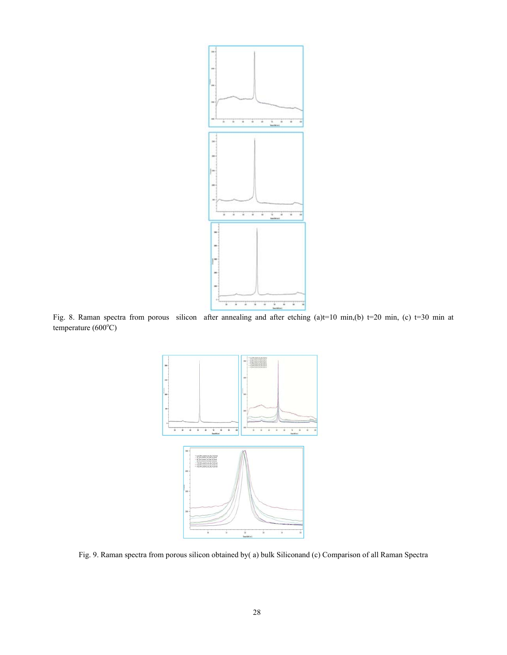

Fig. 8. Raman spectra from porous silicon after annealing and after etching (a)t=10 min,(b) t=20 min, (c) t=30 min at  $temperature (600°C)$ 



Fig. 9. Raman spectra from porous silicon obtained by( a) bulk Siliconand (c) Comparison of all Raman Spectra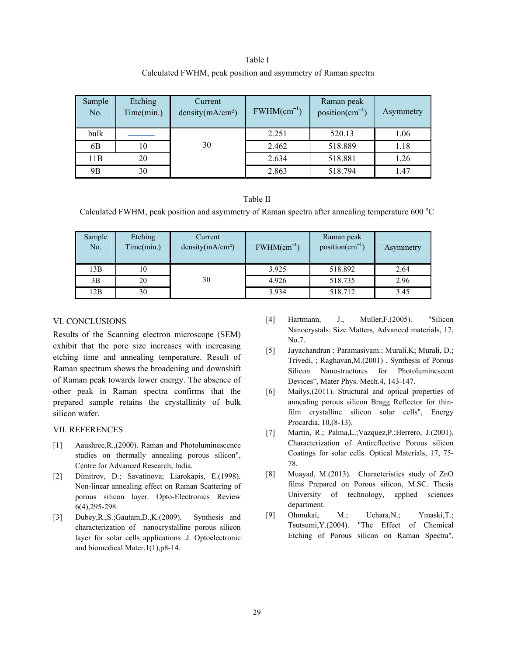| Table I                                                       |
|---------------------------------------------------------------|
| Calculated FWHM, peak position and asymmetry of Raman spectra |

| Sample<br>No. | Etching<br>Time(min.) | Current<br>density(mA/cm <sup>2</sup> ) | $FWHM(cm^{-1})$ | Raman peak<br>position( $cm^{-1}$ ) | Asymmetry |
|---------------|-----------------------|-----------------------------------------|-----------------|-------------------------------------|-----------|
| bulk          |                       |                                         | 2.251           | 520.13                              | 1.06      |
| 6B            | 10                    | 30                                      | 2.462           | 518.889                             | 1.18      |
| 11B           | 20                    |                                         | 2.634           | 518.881                             | 1.26      |
| 9B            | 30                    |                                         | 2.863           | 518.794                             | 1.47      |

#### Table II

Calculated FWHM, peak position and asymmetry of Raman spectra after annealing temperature 600 °C

| Sample<br>No. | Etching<br>Time(min.) | Current<br>density $(mA/cm2)$ | $FWHM(cm^{-1})$ | Raman peak<br>$position(cm^{-1})$ | Asymmetry |
|---------------|-----------------------|-------------------------------|-----------------|-----------------------------------|-----------|
| 13B           | 10                    |                               | 3.925           | 518.892                           | 2.64      |
| 3B            | 20                    | 30                            | 4.926           | 518.735                           | 2.96      |
| 12B           | 30                    |                               | 3.934           | 518.712                           | 3.45      |

### VI. CONCLUSIONS

Results of the Scanning electron microscope (SEM) exhibit that the pore size increases with increasing etching time and annealing temperature. Result of Raman spectrum shows the broadening and downshift of Raman peak towards lower energy. The absence of other peak in Raman spectra confirms that the prepared sample retains the crystallinity of bulk silicon wafer.

# VII. REFERENCES

- [1] Aaushree,R.,(2000). Raman and Photoluminescence studies on thermally annealing porous silicon", Centre for Advanced Research, India.
- [2] Dimitrov, D.; Savatinova; Liarokapis, E.(1998). Non-linear annealing effect on Raman Scattering of porous silicon layer. Opto-Electronics Review 6(4),295-298.
- [3] Dubey,R.,S.;Gautam,D.,K.(2009). Synthesis and characterization of nanocrystalline porous silicon layer for solar cells applications .J. Optoelectronic and biomedical Mater.1(1),p8-14.
- [4] Hartmann, J., Muller,F.(2005). "Silicon Nanocrystals: Size Matters, Advanced materials, 17, No.7.
- [5] Jayachandran ; Paramasivam.; Murali.K; Murali, D.; Trivedi, ; Raghavan,M.(2001) . Synthesis of Porous Silicon Nanostructures for Photoluminescent Devices", Mater Phys. Mech.4, 143-147.
- [6] Mailys, (2011). Structural and optical properties of annealing porous silicon Bragg Reflector for thinfilm crystalline silicon solar cells", Energy Procardia, 10,(8-13).
- [7] Martin, R.; Palma, L.; Vazquez, P.; Herrero, J.(2001). Characterization of Antireflective Porous silicon Coatings for solar cells. Optical Materials, 17, 75- 78.
- [8] Muayad, M.(2013). Characteristics study of ZnO films Prepared on Porous silicon, M.SC. Thesis University of technology, applied sciences department.
- [9] Ohmukai, M.; Uehara,N.; Ymaski,T.; Tsutsumi,Y.(2004). "The Effect of Chemical Etching of Porous silicon on Raman Spectra",